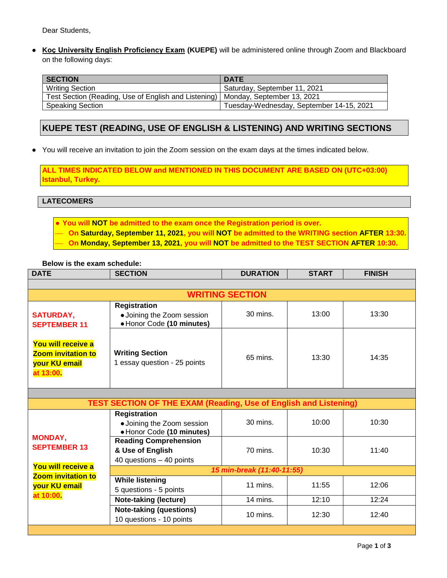Dear Students,

**● Koç University English Proficiency Exam (KUEPE)** will be administered online through Zoom and Blackboard on the following days:

| <b>SECTION</b>                                                                    | <b>DATE</b>                              |
|-----------------------------------------------------------------------------------|------------------------------------------|
| <b>Writing Section</b>                                                            | Saturday, September 11, 2021             |
| Test Section (Reading, Use of English and Listening)   Monday, September 13, 2021 |                                          |
| <b>Speaking Section</b>                                                           | Tuesday-Wednesday, September 14-15, 2021 |

# **KUEPE TEST (READING, USE OF ENGLISH & LISTENING) AND WRITING SECTIONS**

**●** You will receive an invitation to join the Zoom session on the exam days at the times indicated below.

**ALL TIMES INDICATED BELOW and MENTIONED IN THIS DOCUMENT ARE BASED ON (UTC+03:00) Istanbul, Turkey.**

**LATECOMERS**

● **You will NOT be admitted to the exam once the Registration period is over.**  ⎯ **On Saturday, September 11, 2021, you will NOT be admitted to the WRITING section AFTER 13:30.** ⎯ **On Monday, September 13, 2021, you will NOT be admitted to the TEST SECTION AFTER 10:30.**

#### **Below is the exam schedule:**

| <b>DATE</b>                                                                   | <b>SECTION</b>                                                                 | <b>DURATION</b> | <b>START</b> | <b>FINISH</b> |  |  |
|-------------------------------------------------------------------------------|--------------------------------------------------------------------------------|-----------------|--------------|---------------|--|--|
|                                                                               |                                                                                |                 |              |               |  |  |
| <b>WRITING SECTION</b>                                                        |                                                                                |                 |              |               |  |  |
| <b>SATURDAY,</b><br><b>SEPTEMBER 11</b>                                       | <b>Registration</b><br>• Joining the Zoom session<br>• Honor Code (10 minutes) | 30 mins.        | 13:00        | 13:30         |  |  |
| You will receive a<br><b>Zoom invitation to</b><br>your KU email<br>at 13:00. | <b>Writing Section</b><br>1 essay question - 25 points                         | 65 mins.        | 13:30        | 14:35         |  |  |

| <b>TEST SECTION OF THE EXAM (Reading, Use of English and Listening)</b>                                               |                                                                                |                     |       |       |  |  |  |
|-----------------------------------------------------------------------------------------------------------------------|--------------------------------------------------------------------------------|---------------------|-------|-------|--|--|--|
| <b>MONDAY,</b><br><b>SEPTEMBER 13</b><br>You will receive a<br><b>Zoom invitation to</b><br>your KU email<br>at 10:00 | <b>Registration</b><br>• Joining the Zoom session<br>• Honor Code (10 minutes) | 30 mins.            | 10:00 | 10:30 |  |  |  |
|                                                                                                                       | <b>Reading Comprehension</b><br>& Use of English<br>40 questions - 40 points   | 70 mins.            | 10:30 | 11:40 |  |  |  |
|                                                                                                                       | 15 min-break (11:40-11:55)                                                     |                     |       |       |  |  |  |
|                                                                                                                       | <b>While listening</b><br>5 questions - 5 points                               | 11 mins.            | 11:55 | 12:06 |  |  |  |
|                                                                                                                       | <b>Note-taking (lecture)</b>                                                   | 14 mins.            | 12:10 | 12:24 |  |  |  |
|                                                                                                                       | Note-taking (questions)<br>10 questions - 10 points                            | $10 \text{ mins}$ . | 12:30 | 12:40 |  |  |  |
|                                                                                                                       |                                                                                |                     |       |       |  |  |  |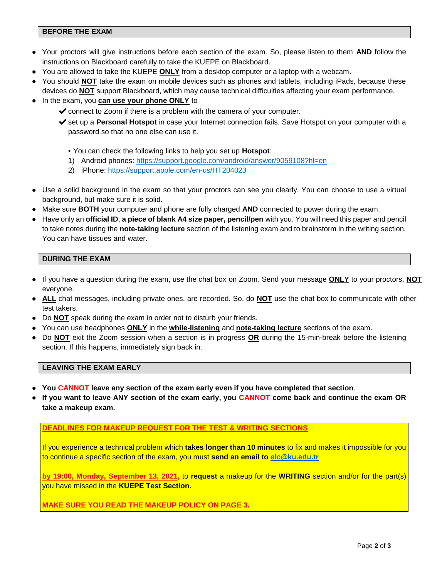# **BEFORE THE EXAM**

- **●** Your proctors will give instructions before each section of the exam. So, please listen to them **AND** follow the instructions on Blackboard carefully to take the KUEPE on Blackboard.
- **●** You are allowed to take the KUEPE **ONLY** from a desktop computer or a laptop with a webcam.
- **●** You should **NOT** take the exam on mobile devices such as phones and tablets, including iPads, because these devices do **NOT** support Blackboard, which may cause technical difficulties affecting your exam performance.
- **●** In the exam, you **can use your phone ONLY** to
	- $\triangleright$  connect to Zoom if there is a problem with the camera of your computer.
	- ✔set up a **Personal Hotspot** in case your Internet connection fails. Save Hotspot on your computer with a password so that no one else can use it.

▪ You can check the following links to help you set up **Hotspot**:

- 1) Android phones:<https://support.google.com/android/answer/9059108?hl=en>
- 2) iPhone:<https://support.apple.com/en-us/HT204023>
- **●** Use a solid background in the exam so that your proctors can see you clearly. You can choose to use a virtual background, but make sure it is solid.
- **●** Make sure **BOTH** your computer and phone are fully charged **AND** connected to power during the exam.
- **●** Have only an **official ID**, **a piece of blank A4 size paper, pencil/pen** with you. You will need this paper and pencil to take notes during the **note-taking lecture** section of the listening exam and to brainstorm in the writing section. You can have tissues and water.

# **DURING THE EXAM**

- **●** If you have a question during the exam, use the chat box on Zoom. Send your message **ONLY** to your proctors, **NOT** everyone.
- **● ALL** chat messages, including private ones, are recorded. So, do **NOT** use the chat box to communicate with other test takers.
- **●** Do **NOT** speak during the exam in order not to disturb your friends.
- **●** You can use headphones **ONLY** in the **while-listening** and **note-taking lecture** sections of the exam.
- **●** Do **NOT** exit the Zoom session when a section is in progress **OR** during the 15-min-break before the listening section. If this happens, immediately sign back in.

# **LEAVING THE EXAM EARLY**

- **● You CANNOT leave any section of the exam early even if you have completed that section**.
- **● If you want to leave ANY section of the exam early, you CANNOT come back and continue the exam OR take a makeup exam.**

#### **DEADLINES FOR MAKEUP REQUEST FOR THE TEST & WRITING SECTIONS**

If you experience a technical problem which **takes longer than 10 minutes** to fix and makes it impossible for you to continue a specific section of the exam, you must **send an email to [elc@ku.edu.tr](mailto:elc@ku.edu.tr)**

**by 19:00, Monday, September 13, 2021,** to **request** a makeup for the **WRITING** section and/or for the part(s) you have missed in the **KUEPE Test Section**.

**MAKE SURE YOU READ THE MAKEUP POLICY ON PAGE 3.**